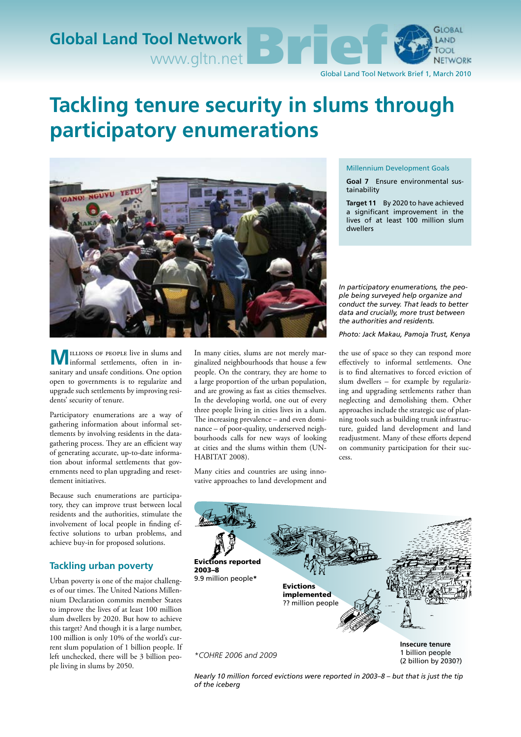

# **Tackling tenure security in slums through participatory enumerations**



**M** ILLIONS OF PEOPLE live in slums and informal settlements, often in insanitary and unsafe conditions. One option open to governments is to regularize and upgrade such settlements by improving residents' security of tenure.

Participatory enumerations are a way of gathering information about informal settlements by involving residents in the datagathering process. They are an efficient way of generating accurate, up-to-date information about informal settlements that governments need to plan upgrading and resettlement initiatives.

Because such enumerations are participatory, they can improve trust between local residents and the authorities, stimulate the involvement of local people in finding effective solutions to urban problems, and achieve buy-in for proposed solutions.

## **Tackling urban poverty**

Urban poverty is one of the major challenges of our times. The United Nations Millennium Declaration commits member States to improve the lives of at least 100 million slum dwellers by 2020. But how to achieve this target? And though it is a large number, 100 million is only 10% of the world's current slum population of 1 billion people. If left unchecked, there will be 3 billion people living in slums by 2050.

In many cities, slums are not merely marginalized neighbourhoods that house a few people. On the contrary, they are home to a large proportion of the urban population, and are growing as fast as cities themselves. In the developing world, one out of every three people living in cities lives in a slum. The increasing prevalence – and even dominance – of poor-quality, underserved neighbourhoods calls for new ways of looking at cities and the slums within them (UN-HABITAT 2008).

Many cities and countries are using innovative approaches to land development and

#### Millennium Development Goals

**Goal 7** Ensure environmental sustainability

**Target 11** By 2020 to have achieved a significant improvement in the lives of at least 100 million slum dwellers

*In participatory enumerations, the people being surveyed help organize and conduct the survey. That leads to better data and crucially, more trust between the authorities and residents.* 

*Photo: Jack Makau, Pamoja Trust, Kenya*

the use of space so they can respond more effectively to informal settlements. One is to find alternatives to forced eviction of slum dwellers – for example by regularizing and upgrading settlements rather than neglecting and demolishing them. Other approaches include the strategic use of planning tools such as building trunk infrastructure, guided land development and land readjustment. Many of these efforts depend on community participation for their success.



*Nearly 10 million forced evictions were reported in 2003–8 – but that is just the tip of the iceberg*